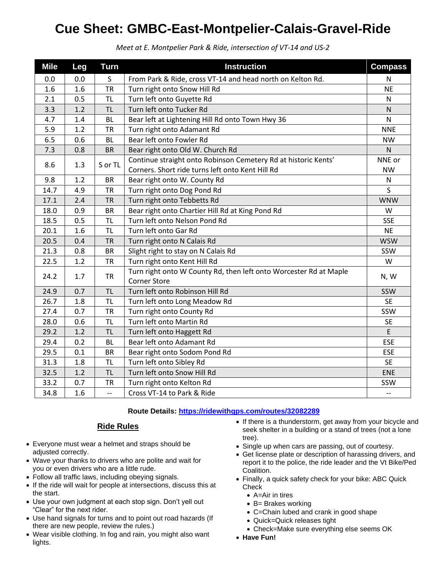## **Cue Sheet: GMBC-East-Montpelier-Calais-Gravel-Ride**

| <b>Mile</b> | Leg | <b>Turn</b>              | <b>Instruction</b>                                                                       | <b>Compass</b>           |
|-------------|-----|--------------------------|------------------------------------------------------------------------------------------|--------------------------|
| 0.0         | 0.0 | S                        | From Park & Ride, cross VT-14 and head north on Kelton Rd.                               | N                        |
| 1.6         | 1.6 | <b>TR</b>                | Turn right onto Snow Hill Rd                                                             | <b>NE</b>                |
| 2.1         | 0.5 | <b>TL</b>                | Turn left onto Guyette Rd                                                                | $\mathsf{N}$             |
| 3.3         | 1.2 | <b>TL</b>                | Turn left onto Tucker Rd                                                                 | N                        |
| 4.7         | 1.4 | <b>BL</b>                | Bear left at Lightening Hill Rd onto Town Hwy 36                                         | $\mathsf{N}$             |
| 5.9         | 1.2 | <b>TR</b>                | Turn right onto Adamant Rd                                                               | <b>NNE</b>               |
| 6.5         | 0.6 | <b>BL</b>                | Bear left onto Fowler Rd                                                                 | <b>NW</b>                |
| 7.3         | 0.8 | <b>BR</b>                | Bear right onto Old W. Church Rd                                                         | N                        |
| 8.6         | 1.3 | S or TL                  | Continue straight onto Robinson Cemetery Rd at historic Kents'                           | NNE or                   |
|             |     |                          | Corners. Short ride turns left onto Kent Hill Rd                                         | <b>NW</b>                |
| 9.8         | 1.2 | <b>BR</b>                | Bear right onto W. County Rd                                                             | N                        |
| 14.7        | 4.9 | <b>TR</b>                | Turn right onto Dog Pond Rd                                                              | S                        |
| 17.1        | 2.4 | <b>TR</b>                | Turn right onto Tebbetts Rd                                                              | <b>WNW</b>               |
| 18.0        | 0.9 | <b>BR</b>                | Bear right onto Chartier Hill Rd at King Pond Rd                                         | W                        |
| 18.5        | 0.5 | <b>TL</b>                | Turn left onto Nelson Pond Rd                                                            | <b>SSE</b>               |
| 20.1        | 1.6 | <b>TL</b>                | Turn left onto Gar Rd                                                                    | <b>NE</b>                |
| 20.5        | 0.4 | <b>TR</b>                | Turn right onto N Calais Rd                                                              | <b>WSW</b>               |
| 21.3        | 0.8 | <b>BR</b>                | Slight right to stay on N Calais Rd                                                      | SSW                      |
| 22.5        | 1.2 | <b>TR</b>                | Turn right onto Kent Hill Rd                                                             | W                        |
| 24.2        | 1.7 | <b>TR</b>                | Turn right onto W County Rd, then left onto Worcester Rd at Maple<br><b>Corner Store</b> | N, W                     |
| 24.9        | 0.7 | <b>TL</b>                | Turn left onto Robinson Hill Rd                                                          | SSW                      |
| 26.7        | 1.8 | <b>TL</b>                | Turn left onto Long Meadow Rd                                                            | <b>SE</b>                |
| 27.4        | 0.7 | <b>TR</b>                | Turn right onto County Rd                                                                | SSW                      |
| 28.0        | 0.6 | <b>TL</b>                | Turn left onto Martin Rd                                                                 | <b>SE</b>                |
| 29.2        | 1.2 | <b>TL</b>                | Turn left onto Haggett Rd                                                                | E                        |
| 29.4        | 0.2 | <b>BL</b>                | Bear left onto Adamant Rd                                                                | <b>ESE</b>               |
| 29.5        | 0.1 | <b>BR</b>                | Bear right onto Sodom Pond Rd                                                            | <b>ESE</b>               |
| 31.3        | 1.8 | <b>TL</b>                | Turn left onto Sibley Rd                                                                 | <b>SE</b>                |
| 32.5        | 1.2 | <b>TL</b>                | Turn left onto Snow Hill Rd                                                              | <b>ENE</b>               |
| 33.2        | 0.7 | <b>TR</b>                | Turn right onto Kelton Rd                                                                | SSW                      |
| 34.8        | 1.6 | $\overline{\phantom{a}}$ | Cross VT-14 to Park & Ride                                                               | $\overline{\phantom{a}}$ |

*Meet at E. Montpelier Park & Ride, intersection of VT-14 and US-2*

## **Route Details:<https://ridewithgps.com/routes/32082289>**

## **Ride Rules**

- Everyone must wear a helmet and straps should be adjusted correctly.
- Wave your thanks to drivers who are polite and wait for you or even drivers who are a little rude.
- Follow all traffic laws, including obeying signals.
- If the ride will wait for people at intersections, discuss this at the start.
- Use your own judgment at each stop sign. Don't yell out "Clear" for the next rider.
- Use hand signals for turns and to point out road hazards (If there are new people, review the rules.)
- Wear visible clothing. In fog and rain, you might also want lights.
- If there is a thunderstorm, get away from your bicycle and seek shelter in a building or a stand of trees (not a lone tree).
- Single up when cars are passing, out of courtesy.
- Get license plate or description of harassing drivers, and report it to the police, the ride leader and the Vt Bike/Ped Coalition.
- Finally, a quick safety check for your bike: ABC Quick **Check** 
	- A=Air in tires
	- B= Brakes working
	- C=Chain lubed and crank in good shape
	- Quick=Quick releases tight
	- Check=Make sure everything else seems OK
- **Have Fun!**